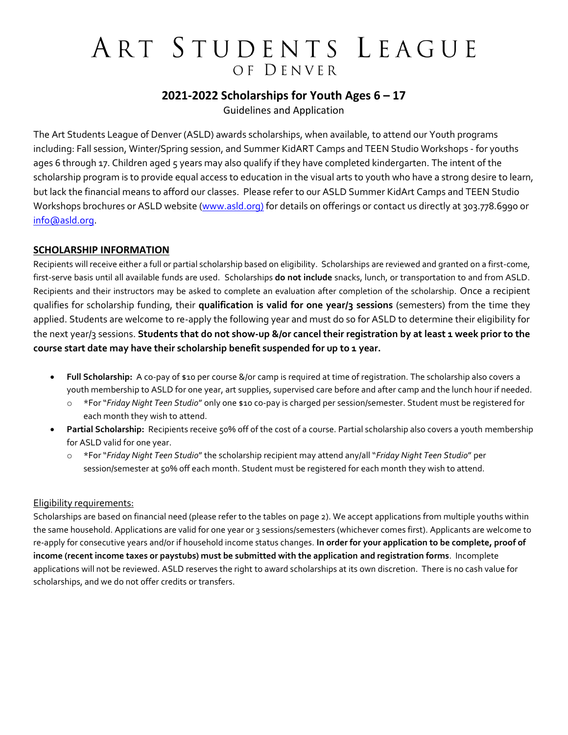#### **2021-2022 Scholarships for Youth Ages 6 – 17**

Guidelines and Application

The Art Students League of Denver (ASLD) awards scholarships, when available, to attend our Youth programs including: Fall session, Winter/Spring session, and Summer KidART Camps and TEEN Studio Workshops - for youths ages 6 through 17. Children aged 5 years may also qualify if they have completed kindergarten. The intent of the scholarship program is to provide equal access to education in the visual arts to youth who have a strong desire to learn, but lack the financial means to afford our classes. Please refer to our ASLD Summer KidArt Camps and TEEN Studio Workshops brochures or ASLD website [\(www.asld.org\)](http://www.asld.org/) for details on offerings or contact us directly at 303.778.6990 or [info@asld.org.](mailto:info@asld.org)

#### **SCHOLARSHIP INFORMATION**

Recipients will receive either a full or partial scholarship based on eligibility. Scholarships are reviewed and granted on a first-come, first-serve basis until all available funds are used. Scholarships **do not include** snacks, lunch, or transportation to and from ASLD. Recipients and their instructors may be asked to complete an evaluation after completion of the scholarship. Once a recipient qualifies for scholarship funding, their **qualification is valid for one year/3 sessions** (semesters) from the time they applied. Students are welcome to re-apply the following year and must do so for ASLD to determine their eligibility for the next year/3 sessions. Students that do not show-up &/or cancel their registration by at least 1 week prior to the **course start date may have their scholarship benefit suspended for up to 1 year.**

- **Full Scholarship:** A co-pay of \$10 per course &/or camp is required at time of registration. The scholarship also covers a youth membership to ASLD for one year, art supplies, supervised care before and after camp and the lunch hour if needed.
	- o \*For "*Friday Night Teen Studio*" only one \$10 co-pay is charged per session/semester. Student must be registered for each month they wish to attend.
- **Partial Scholarship:** Recipients receive 50% off of the cost of a course. Partial scholarship also covers a youth membership for ASLD valid for one year.
	- o \*For "*Friday Night Teen Studio*" the scholarship recipient may attend any/all "*Friday Night Teen Studio*" per session/semester at 50% off each month. Student must be registered for each month they wish to attend.

#### Eligibility requirements:

Scholarships are based on financial need (please refer to the tables on page 2). We accept applications from multiple youths within the same household. Applications are valid for one year or 3 sessions/semesters (whichever comes first). Applicants are welcome to re-apply for consecutive years and/or if household income status changes. **In order for your application to be complete, proof of income (recent income taxes or paystubs) must be submitted with the application and registration forms**. Incomplete applications will not be reviewed. ASLD reserves the right to award scholarships at its own discretion. There is no cash value for scholarships, and we do not offer credits or transfers.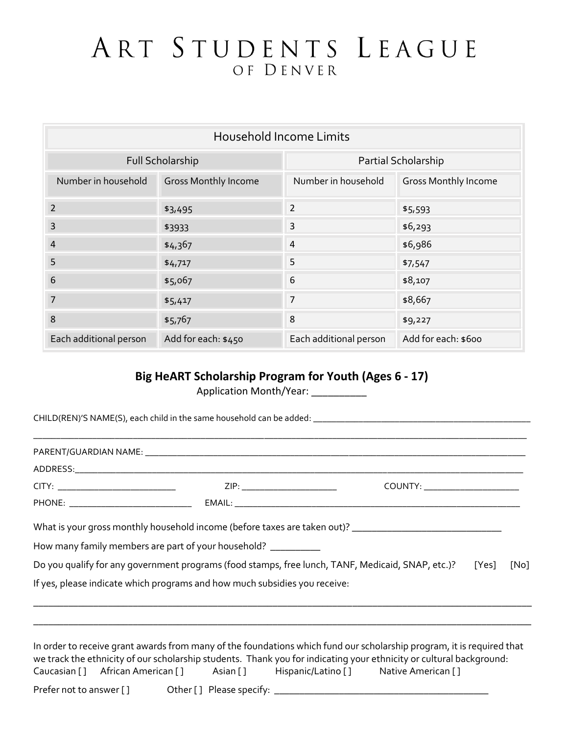| <b>Household Income Limits</b> |                             |                        |                             |
|--------------------------------|-----------------------------|------------------------|-----------------------------|
| Full Scholarship               |                             | Partial Scholarship    |                             |
| Number in household            | <b>Gross Monthly Income</b> | Number in household    | <b>Gross Monthly Income</b> |
| $\overline{2}$                 | \$3,495                     | 2                      | \$5,593                     |
| 3                              | \$3933                      | 3                      | \$6,293                     |
| $\overline{4}$                 | \$4,367                     | 4                      | \$6,986                     |
| 5                              | \$4,717                     | 5                      | \$7,547                     |
| 6                              | \$5,067                     | 6                      | \$8,107                     |
| 7                              | \$5,417                     | 7                      | \$8,667                     |
| 8                              | \$5,767                     | 8                      | \$9,227                     |
| Each additional person         | Add for each: \$450         | Each additional person | Add for each: \$600         |

#### **Big HeART Scholarship Program for Youth (Ages 6 - 17)**

Application Month/Year: \_\_\_\_\_\_\_\_\_\_\_

|                                                                                                                       | COUNTY: ______________________ |      |
|-----------------------------------------------------------------------------------------------------------------------|--------------------------------|------|
|                                                                                                                       |                                |      |
| What is your gross monthly household income (before taxes are taken out)? ___________________________________         |                                |      |
| How many family members are part of your household? ___________                                                       |                                |      |
| Do you qualify for any government programs (food stamps, free lunch, TANF, Medicaid, SNAP, etc.)? [Yes]               |                                | [No] |
| If yes, please indicate which programs and how much subsidies you receive:                                            |                                |      |
|                                                                                                                       |                                |      |
|                                                                                                                       |                                |      |
| In order to receive grant awards from many of the foundations which fund our scholarship program, it is reguired that |                                |      |

In order to receive grant awards from many of the foundations which fund our scholarship program, it is required that we track the ethnicity of our scholarship students. Thank you for indicating your ethnicity or cultural background: Caucasian [ ] African American [ ] Asian [ ] Hispanic/Latino [ ] Native American [ ]

Prefer not to answer [ ] Other [ ] Please specify: \_\_\_\_\_\_\_\_\_\_\_\_\_\_\_\_\_\_\_\_\_\_\_\_\_\_\_\_\_\_\_\_\_\_\_\_\_\_\_\_\_\_\_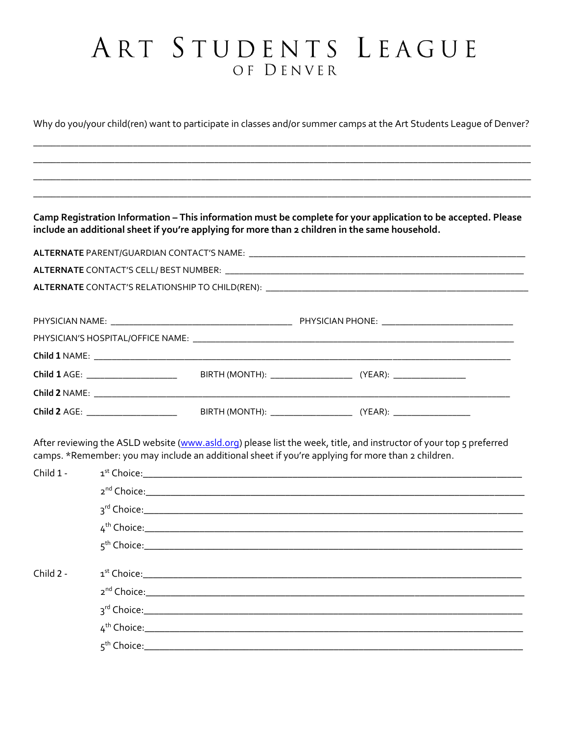Why do you/your child(ren) want to participate in classes and/or summer camps at the Art Students League of Denver?

Camp Registration Information - This information must be complete for your application to be accepted. Please include an additional sheet if you're applying for more than 2 children in the same household.

| Child 2<br>AGE | BIR <sup>7</sup><br><b>IMON</b><br>. .<br>_______ | $\Delta E$<br>. . |
|----------------|---------------------------------------------------|-------------------|
|                |                                                   |                   |

After reviewing the ASLD website (www.asld.org) please list the week, title, and instructor of your top 5 preferred camps. \*Remember: you may include an additional sheet if you're applying for more than 2 children.

| Child 1 -   |  |
|-------------|--|
|             |  |
|             |  |
|             |  |
|             |  |
|             |  |
| Child $2 -$ |  |
|             |  |
|             |  |
|             |  |
|             |  |